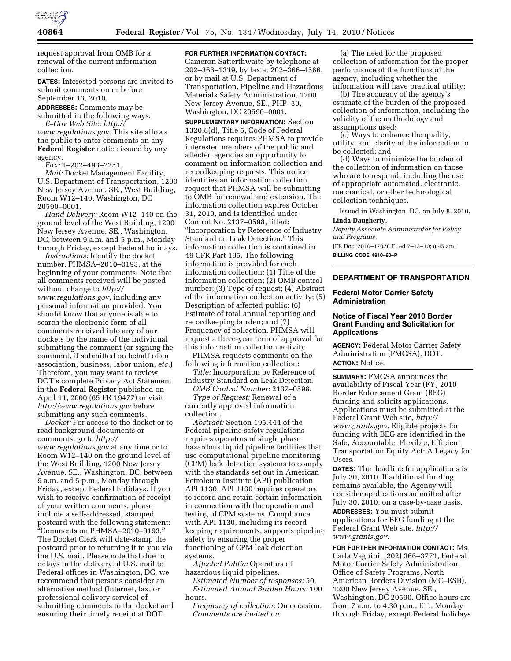

request approval from OMB for a renewal of the current information collection.

**DATES:** Interested persons are invited to submit comments on or before September 13, 2010.

**ADDRESSES:** Comments may be submitted in the following ways: *E–Gov Web Site: http://* 

*www.regulations.gov.* This site allows the public to enter comments on any **Federal Register** notice issued by any agency.

*Fax:* 1–202–493–2251.

*Mail:* Docket Management Facility, U.S. Department of Transportation, 1200 New Jersey Avenue, SE., West Building, Room W12–140, Washington, DC 20590–0001.

*Hand Delivery:* Room W12–140 on the ground level of the West Building, 1200 New Jersey Avenue, SE., Washington, DC, between 9 a.m. and 5 p.m., Monday through Friday, except Federal holidays.

*Instructions:* Identify the docket number, PHMSA–2010–0193, at the beginning of your comments. Note that all comments received will be posted without change to *http:// www.regulations.gov,* including any personal information provided. You should know that anyone is able to search the electronic form of all comments received into any of our dockets by the name of the individual submitting the comment (or signing the comment, if submitted on behalf of an association, business, labor union, *etc.*) Therefore, you may want to review DOT's complete Privacy Act Statement in the **Federal Register** published on April 11, 2000 (65 FR 19477) or visit *http://www.regulations.gov* before submitting any such comments.

*Docket:* For access to the docket or to read background documents or comments, go to *http:// www.regulations.gov* at any time or to Room W12–140 on the ground level of the West Building, 1200 New Jersey Avenue, SE., Washington, DC, between 9 a.m. and 5 p.m., Monday through Friday, except Federal holidays. If you wish to receive confirmation of receipt of your written comments, please include a self-addressed, stamped postcard with the following statement: ''Comments on PHMSA–2010–0193.'' The Docket Clerk will date-stamp the postcard prior to returning it to you via the U.S. mail. Please note that due to delays in the delivery of U.S. mail to Federal offices in Washington, DC, we recommend that persons consider an alternative method (Internet, fax, or professional delivery service) of submitting comments to the docket and ensuring their timely receipt at DOT.

**FOR FURTHER INFORMATION CONTACT:** 

Cameron Satterthwaite by telephone at 202–366–1319, by fax at 202–366–4566, or by mail at U.S. Department of Transportation, Pipeline and Hazardous Materials Safety Administration, 1200 New Jersey Avenue, SE., PHP–30, Washington, DC 20590–0001.

**SUPPLEMENTARY INFORMATION:** Section 1320.8(d), Title 5, Code of Federal Regulations requires PHMSA to provide interested members of the public and affected agencies an opportunity to comment on information collection and recordkeeping requests. This notice identifies an information collection request that PHMSA will be submitting to OMB for renewal and extension. The information collection expires October 31, 2010, and is identified under Control No. 2137–0598, titled: ''Incorporation by Reference of Industry Standard on Leak Detection.'' This information collection is contained in 49 CFR Part 195. The following information is provided for each information collection: (1) Title of the information collection; (2) OMB control number; (3) Type of request; (4) Abstract of the information collection activity; (5) Description of affected public; (6) Estimate of total annual reporting and recordkeeping burden; and (7) Frequency of collection. PHMSA will request a three-year term of approval for this information collection activity.

PHMSA requests comments on the following information collection:

*Title:* Incorporation by Reference of Industry Standard on Leak Detection.

*OMB Control Number:* 2137–0598.

*Type of Request:* Renewal of a currently approved information collection.

*Abstract:* Section 195.444 of the Federal pipeline safety regulations requires operators of single phase hazardous liquid pipeline facilities that use computational pipeline monitoring (CPM) leak detection systems to comply with the standards set out in American Petroleum Institute (API) publication API 1130. API 1130 requires operators to record and retain certain information in connection with the operation and testing of CPM systems. Compliance with API 1130, including its record keeping requirements, supports pipeline safety by ensuring the proper functioning of CPM leak detection systems.

*Affected Public:* Operators of hazardous liquid pipelines. *Estimated Number of responses:* 50.

*Estimated Annual Burden Hours:* 100 hours.

*Frequency of collection:* On occasion. *Comments are invited on:* 

(a) The need for the proposed collection of information for the proper performance of the functions of the agency, including whether the information will have practical utility;

(b) The accuracy of the agency's estimate of the burden of the proposed collection of information, including the validity of the methodology and assumptions used;

(c) Ways to enhance the quality, utility, and clarity of the information to be collected; and

(d) Ways to minimize the burden of the collection of information on those who are to respond, including the use of appropriate automated, electronic, mechanical, or other technological collection techniques.

Issued in Washington, DC, on July 8, 2010.

### **Linda Daugherty,**

*Deputy Associate Administrator for Policy and Programs.* 

[FR Doc. 2010–17078 Filed 7–13–10; 8:45 am] **BILLING CODE 4910–60–P** 

## **DEPARTMENT OF TRANSPORTATION**

#### **Federal Motor Carrier Safety Administration**

# **Notice of Fiscal Year 2010 Border Grant Funding and Solicitation for Applications**

**AGENCY:** Federal Motor Carrier Safety Administration (FMCSA), DOT. **ACTION:** Notice.

**SUMMARY:** FMCSA announces the availability of Fiscal Year (FY) 2010 Border Enforcement Grant (BEG) funding and solicits applications. Applications must be submitted at the Federal Grant Web site, *http:// www.grants.gov.* Eligible projects for funding with BEG are identified in the Safe, Accountable, Flexible, Efficient Transportation Equity Act: A Legacy for Users.

**DATES:** The deadline for applications is July 30, 2010. If additional funding remains available, the Agency will consider applications submitted after July 30, 2010, on a case-by-case basis.

**ADDRESSES:** You must submit applications for BEG funding at the Federal Grant Web site, *http:// www.grants.gov.* 

**FOR FURTHER INFORMATION CONTACT:** Ms. Carla Vagnini, (202) 366–3771, Federal Motor Carrier Safety Administration, Office of Safety Programs, North American Borders Division (MC–ESB), 1200 New Jersey Avenue, SE., Washington, DC 20590. Office hours are from 7 a.m. to 4:30 p.m., ET., Monday through Friday, except Federal holidays.